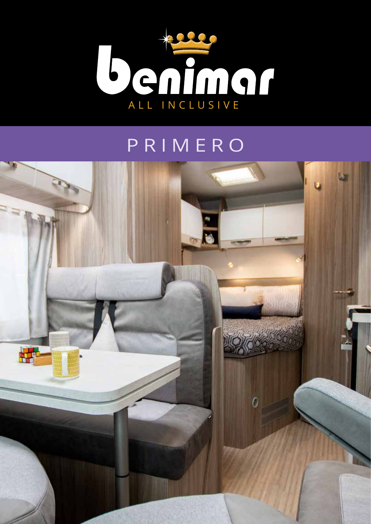

## PRIMERO